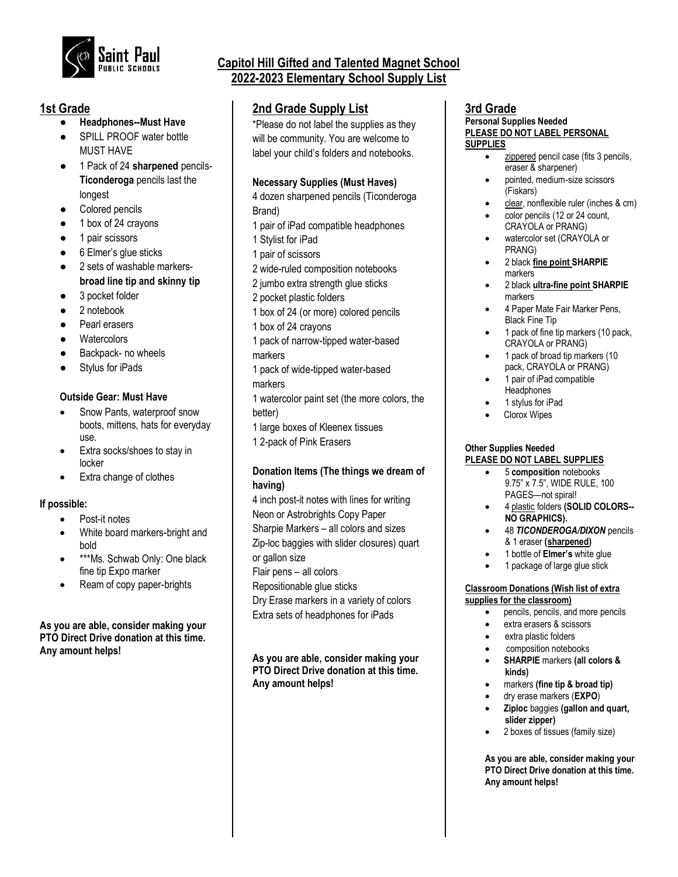

## **1st Grade**

- **Headphones--Must Have**
- SPILL PROOF water bottle MUST HAVE
- 1 Pack of 24 **sharpened** pencils-**Ticonderoga** pencils last the longest
- Colored pencils
- 1 box of 24 crayons
- 1 pair scissors
- 6 Elmer's glue sticks
- 2 sets of washable markers**broad line tip and skinny tip**
- 3 pocket folder
- 2 notebook
- Pearl erasers
- Watercolors
- Backpack- no wheels
- Stylus for iPads

### **Outside Gear: Must Have**

- Snow Pants, waterproof snow boots, mittens, hats for everyday use.
- Extra socks/shoes to stay in locker
- Extra change of clothes

### **If possible:**

- Post-it notes
- White board markers-bright and bold
- \*\*\*Ms. Schwab Only: One black fine tip Expo marker
- Ream of copy paper-brights

### **As you are able, consider making your PTO Direct Drive donation at this time. Any amount helps!**

# **Capitol Hill Gifted and Talented Magnet School 2022-2023 Elementary School Supply List**

# **2nd Grade Supply List**

\*Please do not label the supplies as they will be community. You are welcome to label your child's folders and notebooks.

### **Necessary Supplies (Must Haves)**

4 dozen sharpened pencils (Ticonderoga Brand)

- 1 pair of iPad compatible headphones
- 1 Stylist for iPad
- 1 pair of scissors
- 2 wide-ruled composition notebooks
- 2 jumbo extra strength glue sticks
- 2 pocket plastic folders
- 1 box of 24 (or more) colored pencils
- 1 box of 24 crayons
- 1 pack of narrow-tipped water-based markers
- 1 pack of wide-tipped water-based
- markers
- 1 watercolor paint set (the more colors, the better)
- 1 large boxes of Kleenex tissues
- 1 2-pack of Pink Erasers

### **Donation Items (The things we dream of having)**

4 inch post-it notes with lines for writing Neon or Astrobrights Copy Paper Sharpie Markers – all colors and sizes Zip-loc baggies with slider closures) quart or gallon size Flair pens – all colors Repositionable glue sticks Dry Erase markers in a variety of colors Extra sets of headphones for iPads

**As you are able, consider making your PTO Direct Drive donation at this time. Any amount helps!**

### **3rd Grade Personal Supplies Needed PLEASE DO NOT LABEL PERSONAL**

#### **SUPPLIES**

- zippered pencil case (fits 3 pencils, eraser & sharpener)
- pointed, medium-size scissors (Fiskars)
- clear, nonflexible ruler (inches & cm)
- color pencils (12 or 24 count, CRAYOLA or PRANG)
- watercolor set (CRAYOLA or PRANG)
- 2 black **fine point SHARPIE** markers
- 2 black **ultra-fine point SHARPIE** markers
- 4 Paper Mate Fair Marker Pens, Black Fine Tip
- 1 pack of fine tip markers (10 pack, CRAYOLA or PRANG)
- 1 pack of broad tip markers (10 pack, CRAYOLA or PRANG)
- 1 pair of iPad compatible **Headphones**
- 1 stylus for iPad
- Clorox Wipes

### **Other Supplies Needed PLEASE DO NOT LABEL SUPPLIES**

- 5 **composition** notebooks 9.75" x 7.5", WIDE RULE, 100 PAGES—not spiral!
- 4 plastic folders **(SOLID COLORS-- NO GRAPHICS).**
- 48 *TICONDEROGA/DIXON* pencils & 1 eraser **(sharpened)**
- 1 bottle of **Elmer's** white glue
- 1 package of large glue stick

#### **Classroom Donations (Wish list of extra supplies for the classroom)**

- pencils, pencils, and more pencils
- extra erasers & scissors
- extra plastic folders
- composition notebooks
- **SHARPIE** markers **(all colors & kinds)**
- markers **(fine tip & broad tip)**
- dry erase markers (**EXPO**)
- **Ziploc** baggies **(gallon and quart, slider zipper)**
- 2 boxes of tissues (family size)

**As you are able, consider making your PTO Direct Drive donation at this time. Any amount helps!**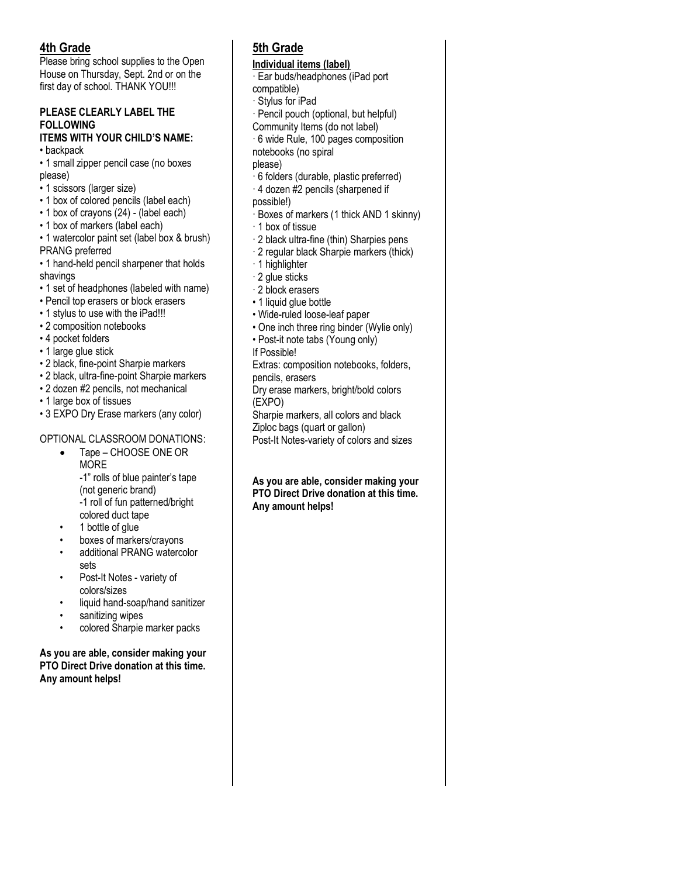# **4th Grade**

Please bring school supplies to the Open House on Thursday, Sept. 2nd or on the first day of school. THANK YOU!!!

# **PLEASE CLEARLY LABEL THE FOLLOWING**

# **ITEMS WITH YOUR CHILD'S NAME:**

- backpack
- 1 small zipper pencil case (no boxes please)
- 1 scissors (larger size)
- 1 box of colored pencils (label each)
- 1 box of crayons (24) (label each)
- 1 box of markers (label each)
- 1 watercolor paint set (label box & brush) PRANG preferred
- 1 hand-held pencil sharpener that holds shavings
- 1 set of headphones (labeled with name)
- Pencil top erasers or block erasers
- 1 stylus to use with the iPad!!!
- 2 composition notebooks
- 4 pocket folders
- 1 large glue stick
- 2 black, fine-point Sharpie markers
- 2 black, ultra-fine-point Sharpie markers
- 2 dozen #2 pencils, not mechanical
- 1 large box of tissues
- 3 EXPO Dry Erase markers (any color)

## OPTIONAL CLASSROOM DONATIONS:

- Tape CHOOSE ONE OR **MORE** -1" rolls of blue painter's tape (not generic brand) -1 roll of fun patterned/bright
- colored duct tape • 1 bottle of glue
- boxes of markers/crayons
- additional PRANG watercolor sets
- Post-It Notes variety of colors/sizes
- liquid hand-soap/hand sanitizer
- sanitizing wipes
- colored Sharpie marker packs

### **As you are able, consider making your PTO Direct Drive donation at this time. Any amount helps!**

# **5th Grade**

## **Individual items (label)**

- · Ear buds/headphones (iPad port compatible)
- · Stylus for iPad
- · Pencil pouch (optional, but helpful)
- Community Items (do not label)
- · 6 wide Rule, 100 pages composition notebooks (no spiral
- please)
- · 6 folders (durable, plastic preferred)
- · 4 dozen #2 pencils (sharpened if
- possible!)
- · Boxes of markers (1 thick AND 1 skinny)
- · 1 box of tissue
- · 2 black ultra-fine (thin) Sharpies pens
- · 2 regular black Sharpie markers (thick)
- · 1 highlighter
- · 2 glue sticks
- · 2 block erasers
- 1 liquid glue bottle
- Wide-ruled loose-leaf paper
- One inch three ring binder (Wylie only)
- Post-it note tabs (Young only)
- If Possible!

Extras: composition notebooks, folders, pencils, erasers

- Dry erase markers, bright/bold colors (EXPO)
- Sharpie markers, all colors and black
- Ziploc bags (quart or gallon)
- Post-It Notes-variety of colors and sizes

### **As you are able, consider making your PTO Direct Drive donation at this time. Any amount helps!**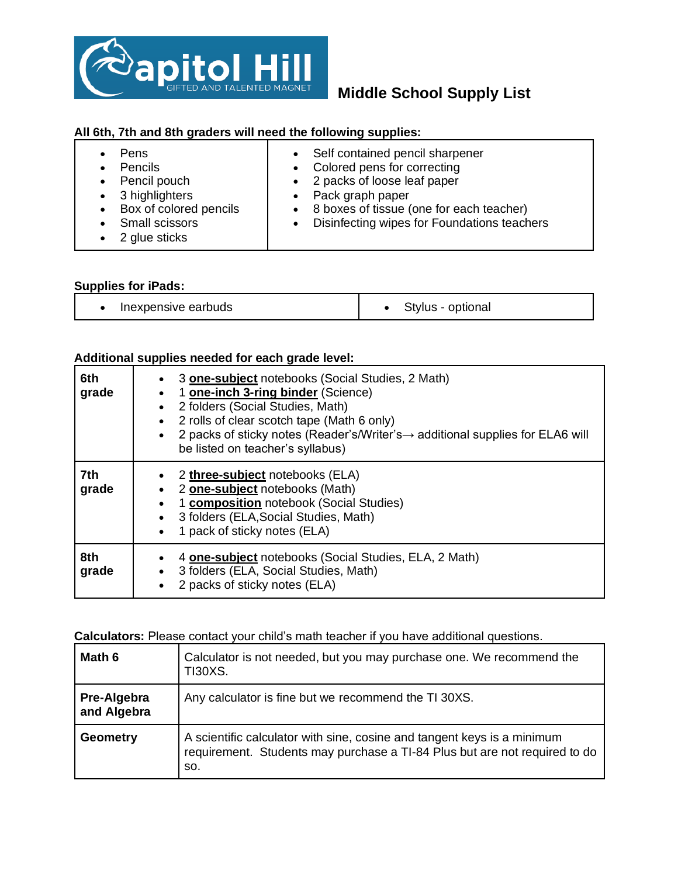

# **Middle School Supply List**

## **All 6th, 7th and 8th graders will need the following supplies:**

| Pens<br><b>Pencils</b><br>$\bullet$<br>• Pencil pouch<br>$\bullet$ 3 highlighters<br>Box of colored pencils<br>$\bullet$<br>Small scissors<br>2 glue sticks | • Self contained pencil sharpener<br>• Colored pens for correcting<br>• 2 packs of loose leaf paper<br>• Pack graph paper<br>• 8 boxes of tissue (one for each teacher)<br>Disinfecting wipes for Foundations teachers |
|-------------------------------------------------------------------------------------------------------------------------------------------------------------|------------------------------------------------------------------------------------------------------------------------------------------------------------------------------------------------------------------------|
|-------------------------------------------------------------------------------------------------------------------------------------------------------------|------------------------------------------------------------------------------------------------------------------------------------------------------------------------------------------------------------------------|

## **Supplies for iPads:**

• Inexpensive earbuds  $\qquad \qquad$  e Stylus - optional

## **Additional supplies needed for each grade level:**

| 6th<br>grade | 3 <b>one-subject</b> notebooks (Social Studies, 2 Math)<br>1 one-inch 3-ring binder (Science)<br>٠<br>2 folders (Social Studies, Math)<br>2 rolls of clear scotch tape (Math 6 only)<br>$\bullet$<br>2 packs of sticky notes (Reader's/Writer's $\rightarrow$ additional supplies for ELA6 will<br>be listed on teacher's syllabus) |
|--------------|-------------------------------------------------------------------------------------------------------------------------------------------------------------------------------------------------------------------------------------------------------------------------------------------------------------------------------------|
| 7th<br>grade | 2 three-subject notebooks (ELA)<br>2 one-subject notebooks (Math)<br>1 <b>composition</b> notebook (Social Studies)<br>3 folders (ELA, Social Studies, Math)<br>1 pack of sticky notes (ELA)<br>$\bullet$                                                                                                                           |
| 8th<br>grade | 4 <b>one-subject</b> notebooks (Social Studies, ELA, 2 Math)<br>3 folders (ELA, Social Studies, Math)<br>2 packs of sticky notes (ELA)                                                                                                                                                                                              |

## **Calculators:** Please contact your child's math teacher if you have additional questions.

| Math 6                     | Calculator is not needed, but you may purchase one. We recommend the<br><b>TI30XS.</b>                                                                       |
|----------------------------|--------------------------------------------------------------------------------------------------------------------------------------------------------------|
| Pre-Algebra<br>and Algebra | Any calculator is fine but we recommend the TI 30XS.                                                                                                         |
| <b>Geometry</b>            | A scientific calculator with sine, cosine and tangent keys is a minimum<br>requirement. Students may purchase a TI-84 Plus but are not required to do<br>SO. |